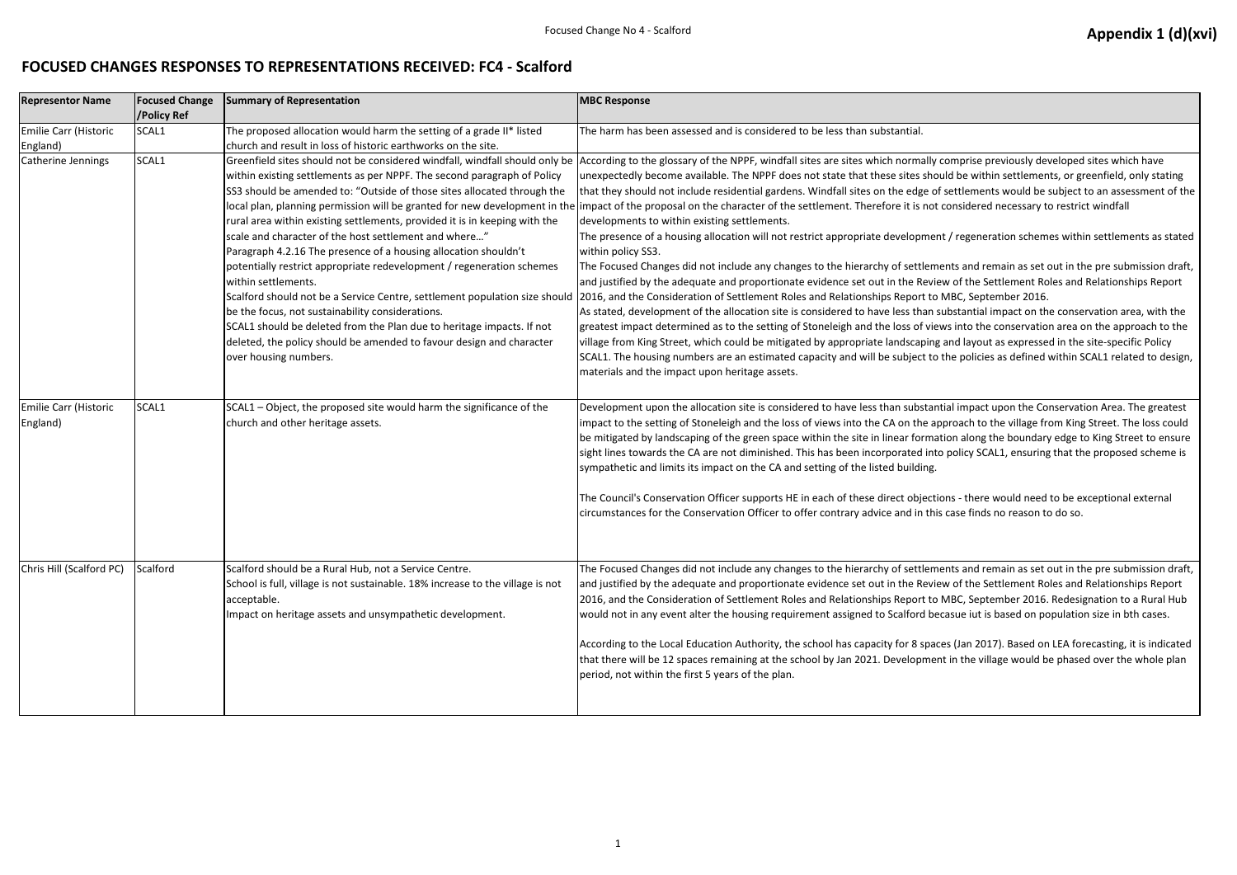## **FOCUSED CHANGES RESPONSES TO REPRESENTATIONS RECEIVED: FC4 - Scalford**

| <b>Representor Name</b>           | <b>Focused Change</b><br>/Policy Ref | <b>Summary of Representation</b>                                                                                                                                                                                                                                                                                                                                                                                                                                                                                                                                                                                                                                                                                                                                                                                                                                                                                        | <b>MBC Response</b>                                                                                                                                                                                                                                                                                                                                                                                                                                                                                                                                                                                                                                                                                                                                                                                                                                                                                                                                                                                                                                                                                                                                                                                         |
|-----------------------------------|--------------------------------------|-------------------------------------------------------------------------------------------------------------------------------------------------------------------------------------------------------------------------------------------------------------------------------------------------------------------------------------------------------------------------------------------------------------------------------------------------------------------------------------------------------------------------------------------------------------------------------------------------------------------------------------------------------------------------------------------------------------------------------------------------------------------------------------------------------------------------------------------------------------------------------------------------------------------------|-------------------------------------------------------------------------------------------------------------------------------------------------------------------------------------------------------------------------------------------------------------------------------------------------------------------------------------------------------------------------------------------------------------------------------------------------------------------------------------------------------------------------------------------------------------------------------------------------------------------------------------------------------------------------------------------------------------------------------------------------------------------------------------------------------------------------------------------------------------------------------------------------------------------------------------------------------------------------------------------------------------------------------------------------------------------------------------------------------------------------------------------------------------------------------------------------------------|
| <b>Emilie Carr (Historic</b>      | SCAL1                                | The proposed allocation would harm the setting of a grade II* listed                                                                                                                                                                                                                                                                                                                                                                                                                                                                                                                                                                                                                                                                                                                                                                                                                                                    | The harm has been assessed and is considered to be less than substantial.                                                                                                                                                                                                                                                                                                                                                                                                                                                                                                                                                                                                                                                                                                                                                                                                                                                                                                                                                                                                                                                                                                                                   |
| England)<br>Catherine Jennings    | SCAL1                                | church and result in loss of historic earthworks on the site.<br>within existing settlements as per NPPF. The second paragraph of Policy<br>SS3 should be amended to: "Outside of those sites allocated through the<br>local plan, planning permission will be granted for new development in the<br>rural area within existing settlements, provided it is in keeping with the<br>scale and character of the host settlement and where"<br>Paragraph 4.2.16 The presence of a housing allocation shouldn't<br>potentially restrict appropriate redevelopment / regeneration schemes<br>within settlements.<br>Scalford should not be a Service Centre, settlement population size should<br>be the focus, not sustainability considerations.<br>SCAL1 should be deleted from the Plan due to heritage impacts. If not<br>deleted, the policy should be amended to favour design and character<br>over housing numbers. | Greenfield sites should not be considered windfall, windfall should only be According to the glossary of the NPPF, windfall sites are sites which normally<br>unexpectedly become available. The NPPF does not state that these sites sho<br>that they should not include residential gardens. Windfall sites on the edge of<br>impact of the proposal on the character of the settlement. Therefore it is not<br>developments to within existing settlements.<br>The presence of a housing allocation will not restrict appropriate developmer<br>within policy SS3.<br>The Focused Changes did not include any changes to the hierarchy of settlem<br>and justified by the adequate and proportionate evidence set out in the Revie<br>2016, and the Consideration of Settlement Roles and Relationships Report to<br>As stated, development of the allocation site is considered to have less than s<br>greatest impact determined as to the setting of Stoneleigh and the loss of vie<br>village from King Street, which could be mitigated by appropriate landscaping<br>SCAL1. The housing numbers are an estimated capacity and will be subject to<br>materials and the impact upon heritage assets. |
| Emilie Carr (Historic<br>England) | SCAL1                                | SCAL1 - Object, the proposed site would harm the significance of the<br>church and other heritage assets.                                                                                                                                                                                                                                                                                                                                                                                                                                                                                                                                                                                                                                                                                                                                                                                                               | Development upon the allocation site is considered to have less than substan<br>impact to the setting of Stoneleigh and the loss of views into the CA on the ap<br>be mitigated by landscaping of the green space within the site in linear forma<br>sight lines towards the CA are not diminished. This has been incorporated inte<br>sympathetic and limits its impact on the CA and setting of the listed building.<br>The Council's Conservation Officer supports HE in each of these direct objecti<br>circumstances for the Conservation Officer to offer contrary advice and in thi                                                                                                                                                                                                                                                                                                                                                                                                                                                                                                                                                                                                                  |
| Chris Hill (Scalford PC)          | Scalford                             | Scalford should be a Rural Hub, not a Service Centre.<br>School is full, village is not sustainable. 18% increase to the village is not<br>acceptable.<br>Impact on heritage assets and unsympathetic development.                                                                                                                                                                                                                                                                                                                                                                                                                                                                                                                                                                                                                                                                                                      | The Focused Changes did not include any changes to the hierarchy of settlem<br>and justified by the adequate and proportionate evidence set out in the Revie<br>2016, and the Consideration of Settlement Roles and Relationships Report to<br>would not in any event alter the housing requirement assigned to Scalford be<br>According to the Local Education Authority, the school has capacity for 8 spac<br>that there will be 12 spaces remaining at the school by Jan 2021. Developmer<br>period, not within the first 5 years of the plan.                                                                                                                                                                                                                                                                                                                                                                                                                                                                                                                                                                                                                                                          |

## Focused Change No 4 - Scalford **Appendix 1 (d)(xvi) Appendix 1 (d)(xvi)**

ly comprise previously developed sites which have nould be within settlements, or greenfield, only stating of settlements would be subject to an assessment of the ot considered necessary to restrict windfall

ent / regeneration schemes within settlements as stated

ments and remain as set out in the pre submission draft, iew of the Settlement Roles and Relationships Report to MBC, September 2016.

substantial impact on the conservation area, with the iews into the conservation area on the approach to the ng and layout as expressed in the site-specific Policy to the policies as defined within SCAL1 related to design,

Intial impact upon the Conservation Area. The greatest approach to the village from King Street. The loss could hation along the boundary edge to King Street to ensure nto policy SCAL1, ensuring that the proposed scheme is

tions - there would need to be exceptional external nis case finds no reason to do so.

ments and remain as set out in the pre submission draft, iew of the Settlement Roles and Relationships Report 2016, to MBC, September 2016. Redesignation to a Rural Hub vecasue iut is based on population size in bth cases.

aces (Jan 2017). Based on LEA forecasting, it is indicated ent in the village would be phased over the whole plan